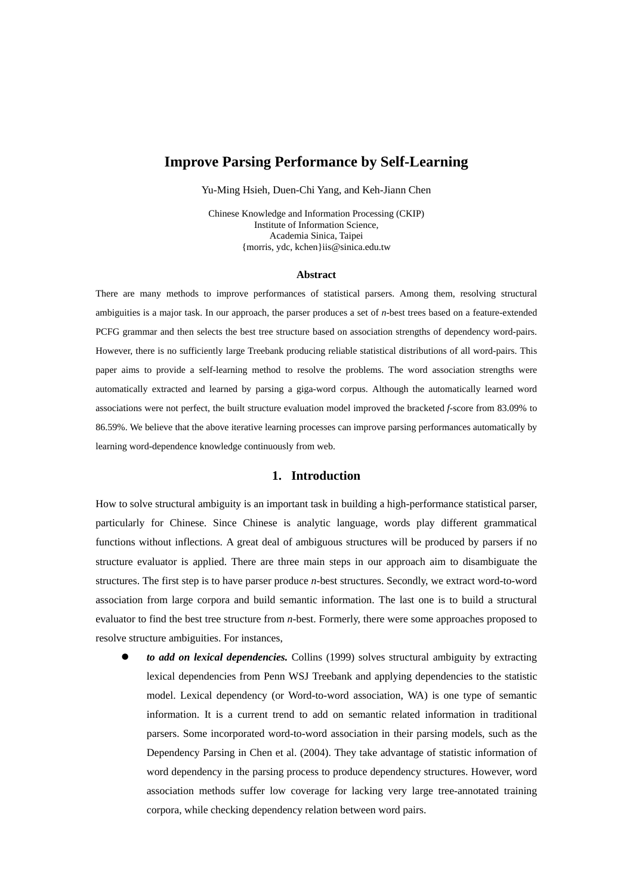# **Improve Parsing Performance by Self-Learning**

Yu-Ming Hsieh, Duen-Chi Yang, and Keh-Jiann Chen

Chinese Knowledge and Information Processing (CKIP) Institute of Information Science, Academia Sinica, Taipei {morris, ydc, kchen}iis@sinica.edu.tw

#### **Abstract**

There are many methods to improve performances of statistical parsers. Among them, resolving structural ambiguities is a major task. In our approach, the parser produces a set of *n*-best trees based on a feature-extended PCFG grammar and then selects the best tree structure based on association strengths of dependency word-pairs. However, there is no sufficiently large Treebank producing reliable statistical distributions of all word-pairs. This paper aims to provide a self-learning method to resolve the problems. The word association strengths were automatically extracted and learned by parsing a giga-word corpus. Although the automatically learned word associations were not perfect, the built structure evaluation model improved the bracketed *f*-score from 83.09% to 86.59%. We believe that the above iterative learning processes can improve parsing performances automatically by learning word-dependence knowledge continuously from web.

## **1. Introduction**

How to solve structural ambiguity is an important task in building a high-performance statistical parser, particularly for Chinese. Since Chinese is analytic language, words play different grammatical functions without inflections. A great deal of ambiguous structures will be produced by parsers if no structure evaluator is applied. There are three main steps in our approach aim to disambiguate the structures. The first step is to have parser produce *n*-best structures. Secondly, we extract word-to-word association from large corpora and build semantic information. The last one is to build a structural evaluator to find the best tree structure from *n*-best. Formerly, there were some approaches proposed to resolve structure ambiguities. For instances,

to add on lexical dependencies. Collins (1999) solves structural ambiguity by extracting lexical dependencies from Penn WSJ Treebank and applying dependencies to the statistic model. Lexical dependency (or Word-to-word association, WA) is one type of semantic information. It is a current trend to add on semantic related information in traditional parsers. Some incorporated word-to-word association in their parsing models, such as the Dependency Parsing in Chen et al. (2004). They take advantage of statistic information of word dependency in the parsing process to produce dependency structures. However, word association methods suffer low coverage for lacking very large tree-annotated training corpora, while checking dependency relation between word pairs.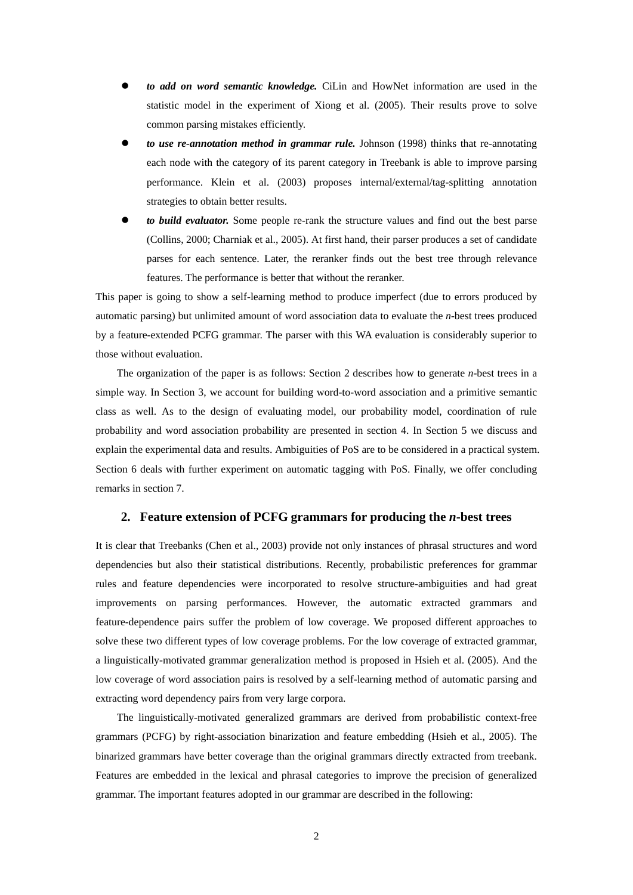- z *to add on word semantic knowledge.* CiLin and HowNet information are used in the statistic model in the experiment of Xiong et al. (2005). Their results prove to solve common parsing mistakes efficiently.
- *to use re-annotation method in grammar rule.* Johnson (1998) thinks that re-annotating each node with the category of its parent category in Treebank is able to improve parsing performance. Klein et al. (2003) proposes internal/external/tag-splitting annotation strategies to obtain better results.
- to build evaluator. Some people re-rank the structure values and find out the best parse (Collins, 2000; Charniak et al., 2005). At first hand, their parser produces a set of candidate parses for each sentence. Later, the reranker finds out the best tree through relevance features. The performance is better that without the reranker.

This paper is going to show a self-learning method to produce imperfect (due to errors produced by automatic parsing) but unlimited amount of word association data to evaluate the *n*-best trees produced by a feature-extended PCFG grammar. The parser with this WA evaluation is considerably superior to those without evaluation.

The organization of the paper is as follows: Section 2 describes how to generate *n*-best trees in a simple way. In Section 3, we account for building word-to-word association and a primitive semantic class as well. As to the design of evaluating model, our probability model, coordination of rule probability and word association probability are presented in section 4. In Section 5 we discuss and explain the experimental data and results. Ambiguities of PoS are to be considered in a practical system. Section 6 deals with further experiment on automatic tagging with PoS. Finally, we offer concluding remarks in section 7.

#### **2. Feature extension of PCFG grammars for producing the** *n***-best trees**

It is clear that Treebanks (Chen et al., 2003) provide not only instances of phrasal structures and word dependencies but also their statistical distributions. Recently, probabilistic preferences for grammar rules and feature dependencies were incorporated to resolve structure-ambiguities and had great improvements on parsing performances. However, the automatic extracted grammars and feature-dependence pairs suffer the problem of low coverage. We proposed different approaches to solve these two different types of low coverage problems. For the low coverage of extracted grammar, a linguistically-motivated grammar generalization method is proposed in Hsieh et al. (2005). And the low coverage of word association pairs is resolved by a self-learning method of automatic parsing and extracting word dependency pairs from very large corpora.

The linguistically-motivated generalized grammars are derived from probabilistic context-free grammars (PCFG) by right-association binarization and feature embedding (Hsieh et al., 2005). The binarized grammars have better coverage than the original grammars directly extracted from treebank. Features are embedded in the lexical and phrasal categories to improve the precision of generalized grammar. The important features adopted in our grammar are described in the following: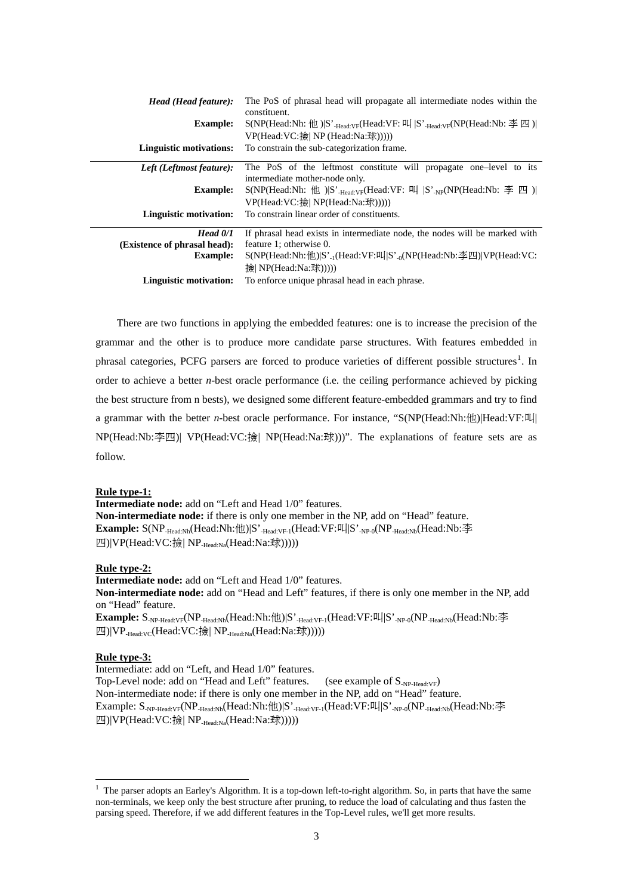| Head (Head feature):<br><b>Example:</b><br><b>Linguistic motivations:</b> | The PoS of phrasal head will propagate all intermediate nodes within the<br>constituent.<br>$S(NP(Head:Nh: #N))S'$ <sub>-Head</sub> -y <sub>F</sub> (Head:VF: $\frac{m}{S'}$ S' <sub>-Head</sub> -y <sub>F</sub> (NP(Head:Nb: $\frac{m}{S'}$ M)<br>VP(Head:VC:撿  NP (Head:Na:球)))))<br>To constrain the sub-categorization frame. |
|---------------------------------------------------------------------------|-----------------------------------------------------------------------------------------------------------------------------------------------------------------------------------------------------------------------------------------------------------------------------------------------------------------------------------|
| Left (Leftmost feature):                                                  | The PoS of the leftmost constitute will propagate one-level to its                                                                                                                                                                                                                                                                |
| <b>Example:</b>                                                           | intermediate mother-node only.<br>$S(NP(Head:Nh: #)   S'_{Head:VF}(Head:VF: #   S'_{NP}(NP(Head:Nb: #   S')_{PP})$                                                                                                                                                                                                                |
| Linguistic motivation:                                                    | VP(Head:VC:撿  NP(Head:Na:球)))))<br>To constrain linear order of constituents.                                                                                                                                                                                                                                                     |
| $Head\ 0/1$<br>(Existence of phrasal head):                               | If phrasal head exists in intermediate node, the nodes will be marked with<br>feature 1; otherwise 0.                                                                                                                                                                                                                             |
| <b>Example:</b>                                                           | $S(NP(Head:Nh:\#))S'_{-1}(Head:VF: \mathbb{H}  S'_{-0}(NP(Head:Nb:\# \mathbb{H}))VP(Head:VC:$<br>输 NP(Head:Na:球)))))                                                                                                                                                                                                              |
| Linguistic motivation:                                                    | To enforce unique phrasal head in each phrase.                                                                                                                                                                                                                                                                                    |

There are two functions in applying the embedded features: one is to increase the precision of the grammar and the other is to produce more candidate parse structures. With features embedded in phrasal categories, PCFG parsers are forced to produce varieties of different possible structures<sup>[1](#page-2-0)</sup>. In order to achieve a better *n*-best oracle performance (i.e. the ceiling performance achieved by picking the best structure from n bests), we designed some different feature-embedded grammars and try to find a grammar with the better *n*-best oracle performance. For instance, "S(NP(Head:Nh:他)|Head:VF:叫| NP(Head:Nb:李四)| VP(Head:VC:撿| NP(Head:Na:球)))". The explanations of feature sets are as follow.

#### **Rule type-1:**

**Intermediate node:** add on "Left and Head 1/0" features. **Non-intermediate node:** if there is only one member in the NP, add on "Head" feature. Example: S(NP<sub>-Head:Nh</sub>(Head:Nh:他)|S'<sub>-Head:VF-1</sub>(Head:VF:叫|S'<sub>-NP-0</sub>(NP<sub>-Head:Nb</sub>(Head:Nb:李 四)|VP(Head:VC:撿| NP-Head:Na(Head:Na:球)))))

#### **Rule type-2:**

**Intermediate node:** add on "Left and Head 1/0" features. **Non-intermediate node:** add on "Head and Left" features, if there is only one member in the NP, add on "Head" feature.

Example:  $S_{NPAed:VF}(NP_{\text{Head}:Nh}(Head:Nh:\text{\#}))S'_{\text{Head}:VF1}(Head:VF:\text{\#}S'_{\text{NP-0}}(NP_{\text{Head}:Nb}(Head:Nb:\text{\#}S'_{\text{Red}:Nb})S'_{\text{Red}:Nb}(Head:Nb:\text{\#}S'_{\text{Red}:Nb}(Head:Nb:\text{\#}S'_{\text{Red}:Nb}(Head:Nb:\text{\#}S'_{\text{Red}:Nb}(Head:Nb:\text{\#}S'_{\text{Red}:Nb}(Red:Nb:\text{\#}S'_{\text{Red}:Nb}(Red:Nb:\text{\#}S'_{\text{Red}:Nb}(Red:Nb:\text{\#}S'_{$ 四)|VP-Head:VC(Head:VC:撿| NP-Head:Na(Head:Na:球)))))

## **Rule type-3:**

1

Intermediate: add on "Left, and Head 1/0" features. Top-Level node: add on "Head and Left" features. (see example of  $S_{NP\text{-Head-VP}}$ ) Non-intermediate node: if there is only one member in the NP, add on "Head" feature. Example: S-NP-Head:VF(NP-Head:Nh(Head:Nh:他)|S'-Head:VF-1(Head:VF:叫|S'-NP-0(NP-Head:Nb(Head:Nb:李 四)|VP(Head:VC:撿| NP-Head:Na(Head:Na:球)))))

<span id="page-2-0"></span><sup>&</sup>lt;sup>1</sup> The parser adopts an Earley's Algorithm. It is a top-down left-to-right algorithm. So, in parts that have the same non-terminals, we keep only the best structure after pruning, to reduce the load of calculating and thus fasten the parsing speed. Therefore, if we add different features in the Top-Level rules, we'll get more results.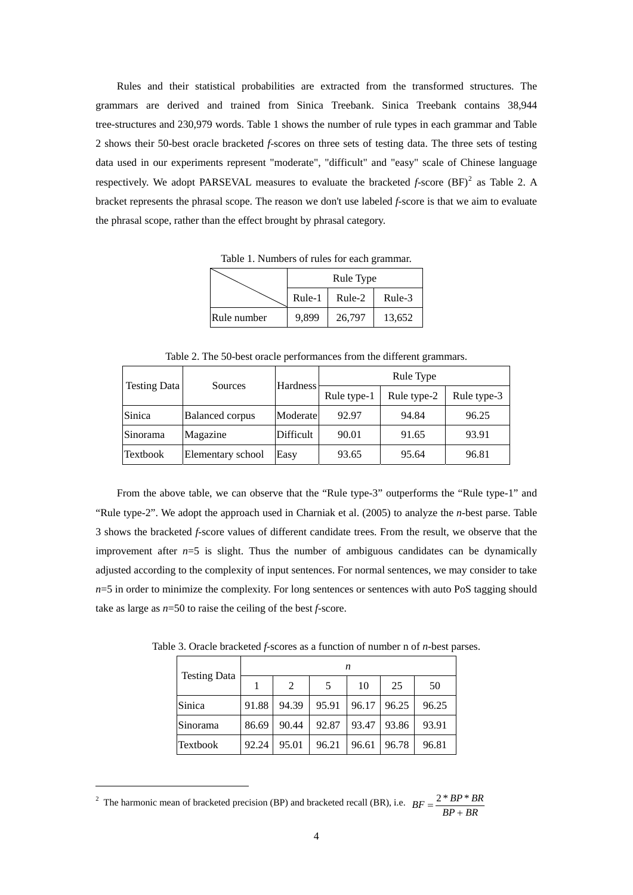Rules and their statistical probabilities are extracted from the transformed structures. The grammars are derived and trained from Sinica Treebank. Sinica Treebank contains 38,944 tree-structures and 230,979 words. Table 1 shows the number of rule types in each grammar and Table 2 shows their 50-best oracle bracketed *f*-scores on three sets of testing data. The three sets of testing data used in our experiments represent "moderate", "difficult" and "easy" scale of Chinese language respectively. We adopt PARSEVAL measures to evaluate the bracketed  $f$ -score  $(BF)^2$  $(BF)^2$  as Table 2. A bracket represents the phrasal scope. The reason we don't use labeled *f*-score is that we aim to evaluate the phrasal scope, rather than the effect brought by phrasal category.

Table 1. Numbers of rules for each grammar.

|             |        | Rule Type |        |
|-------------|--------|-----------|--------|
|             | Rule-1 | Rule-2    | Rule-3 |
| Rule number | 9,899  | 26,797    | 13,652 |

Table 2. The 50-best oracle performances from the different grammars.

| <b>Testing Data</b> | Sources                | Hardness  | Rule Type   |             |             |  |
|---------------------|------------------------|-----------|-------------|-------------|-------------|--|
|                     |                        |           | Rule type-1 | Rule type-2 | Rule type-3 |  |
| Sinica              | <b>Balanced corpus</b> | Moderate  | 92.97       | 94.84       | 96.25       |  |
| Sinorama            | Magazine               | Difficult | 90.01       | 91.65       | 93.91       |  |
| Textbook            | Elementary school      | Easy      | 93.65       | 95.64       | 96.81       |  |

From the above table, we can observe that the "Rule type-3" outperforms the "Rule type-1" and "Rule type-2". We adopt the approach used in Charniak et al. (2005) to analyze the *n*-best parse. Table 3 shows the bracketed *f*-score values of different candidate trees. From the result, we observe that the improvement after  $n=5$  is slight. Thus the number of ambiguous candidates can be dynamically adjusted according to the complexity of input sentences. For normal sentences, we may consider to take  $n=5$  in order to minimize the complexity. For long sentences or sentences with auto PoS tagging should take as large as *n*=50 to raise the ceiling of the best *f*-score.

Table 3. Oracle bracketed *f*-scores as a function of number n of *n*-best parses.

|                     | n     |                |       |       |       |       |  |
|---------------------|-------|----------------|-------|-------|-------|-------|--|
| <b>Testing Data</b> |       | $\mathfrak{D}$ |       | 10    | 25    | 50    |  |
| Sinica              | 91.88 | 94.39          | 95.91 | 96.17 | 96.25 | 96.25 |  |
| Sinorama            | 86.69 | 90.44          | 92.87 | 93.47 | 93.86 | 93.91 |  |
| Textbook            | 92.24 | 95.01          | 96.21 | 96.61 | 96.78 | 96.81 |  |

<span id="page-3-0"></span><sup>&</sup>lt;sup>2</sup> The harmonic mean of bracketed precision (BP) and bracketed recall (BR), i.e.  $BF = \frac{2 * BP * BR}{BP + BR}$ 

<u>.</u>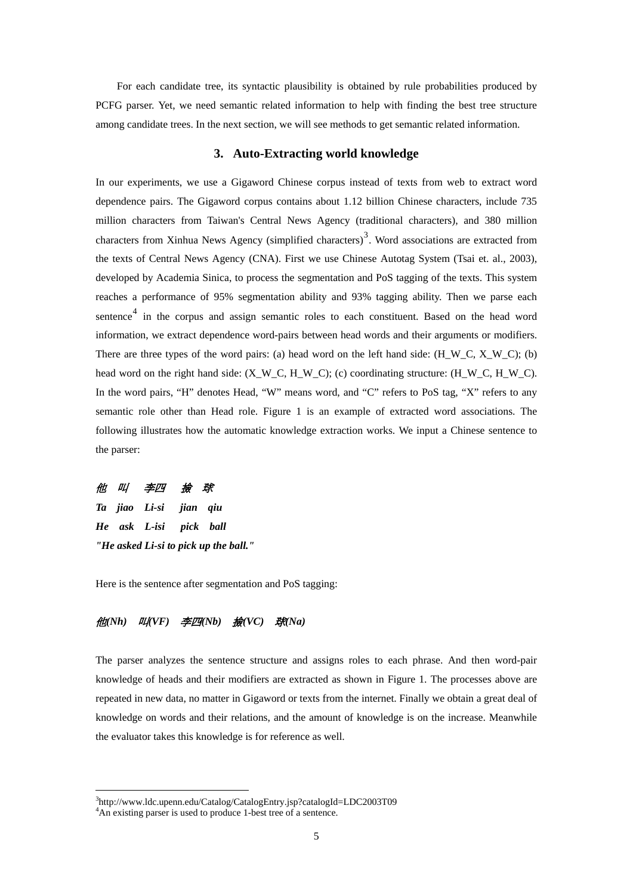For each candidate tree, its syntactic plausibility is obtained by rule probabilities produced by PCFG parser. Yet, we need semantic related information to help with finding the best tree structure among candidate trees. In the next section, we will see methods to get semantic related information.

## **3. Auto-Extracting world knowledge**

In our experiments, we use a Gigaword Chinese corpus instead of texts from web to extract word dependence pairs. The Gigaword corpus contains about 1.12 billion Chinese characters, include 735 million characters from Taiwan's Central News Agency (traditional characters), and 380 million characters from Xinhua News Agency (simplified characters)<sup>[3](#page-4-0)</sup>. Word associations are extracted from the texts of Central News Agency (CNA). First we use Chinese Autotag System (Tsai et. al., 2003), developed by Academia Sinica, to process the segmentation and PoS tagging of the texts. This system reaches a performance of 95% segmentation ability and 93% tagging ability. Then we parse each sentence<sup>[4](#page-4-1)</sup> in the corpus and assign semantic roles to each constituent. Based on the head word information, we extract dependence word-pairs between head words and their arguments or modifiers. There are three types of the word pairs: (a) head word on the left hand side:  $(H_W_C, X_W_C)$ ; (b) head word on the right hand side:  $(X_W_C, H_W_C)$ ; (c) coordinating structure:  $(H_W_C, H_W_C)$ . In the word pairs, "H" denotes Head, "W" means word, and "C" refers to PoS tag, "X" refers to any semantic role other than Head role. Figure 1 is an example of extracted word associations. The following illustrates how the automatic knowledge extraction works. We input a Chinese sentence to the parser:

# 他 叫 李四 撿 球

1

*Ta jiao Li-si jian qiu He ask L-isi pick ball "He asked Li-si to pick up the ball."* 

Here is the sentence after segmentation and PoS tagging:

## 他*(Nh)* 叫*(VF)* 李四*(Nb)* 撿*(VC)* 球*(Na)*

The parser analyzes the sentence structure and assigns roles to each phrase. And then word-pair knowledge of heads and their modifiers are extracted as shown in Figure 1. The processes above are repeated in new data, no matter in Gigaword or texts from the internet. Finally we obtain a great deal of knowledge on words and their relations, and the amount of knowledge is on the increase. Meanwhile the evaluator takes this knowledge is for reference as well.

<sup>&</sup>lt;sup>3</sup>http://www.ldc.upenn.edu/Catalog/CatalogEntry.jsp?catalogId=LDC2003T09<br><sup>4</sup>An existing pareer is used to produce 1 best tree of a septence

<span id="page-4-1"></span><span id="page-4-0"></span><sup>&</sup>lt;sup>4</sup>An existing parser is used to produce 1-best tree of a sentence.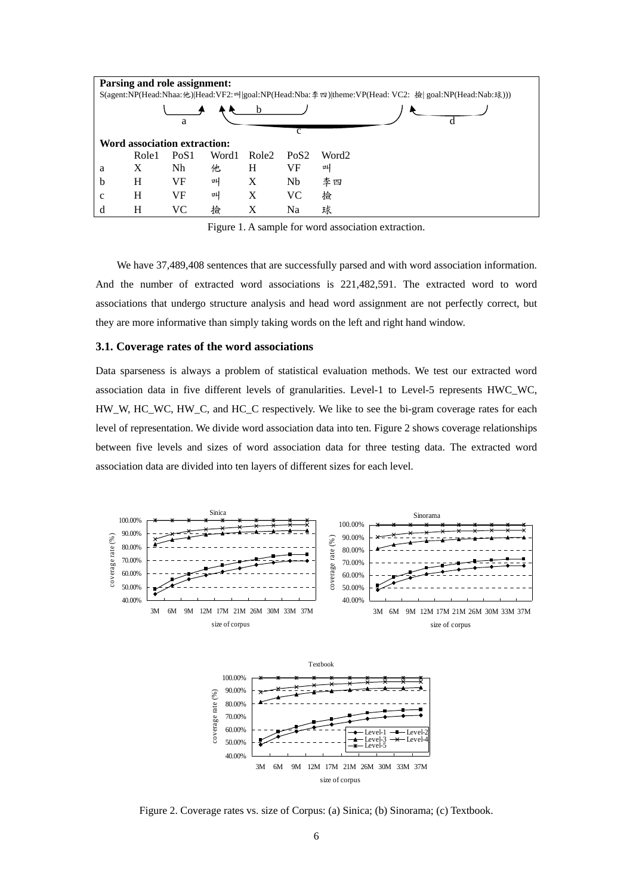| Parsing and role assignment: |                                                                                                       |                              |       |       |                  |       |  |  |  |
|------------------------------|-------------------------------------------------------------------------------------------------------|------------------------------|-------|-------|------------------|-------|--|--|--|
|                              | S(agent:NP(Head:Nhaa:他) Head:VF2:매 goal:NP(Head:Nba:牽 四) theme:VP(Head: VC2: 撿  goal:NP(Head:Nab:球))) |                              |       |       |                  |       |  |  |  |
|                              |                                                                                                       |                              |       |       |                  |       |  |  |  |
|                              |                                                                                                       | a                            |       |       |                  |       |  |  |  |
|                              |                                                                                                       |                              |       |       | c                |       |  |  |  |
|                              |                                                                                                       | Word association extraction: |       |       |                  |       |  |  |  |
|                              | Role1                                                                                                 | PoS <sub>1</sub>             | Word1 | Role2 | Po <sub>S2</sub> | Word2 |  |  |  |
| а                            | X                                                                                                     | Nh                           | 他     | Н     | VF               | 때     |  |  |  |
| b                            | H                                                                                                     | VF                           | ᇜ     | Х     | Nb               | 李四    |  |  |  |
| c                            | H                                                                                                     | VF                           | ᇜ     | X     | VC               | 撿     |  |  |  |
| d                            | H                                                                                                     | VС                           | 撿     | X     | Na               | 球     |  |  |  |

Figure 1. A sample for word association extraction.

We have 37,489,408 sentences that are successfully parsed and with word association information. And the number of extracted word associations is 221,482,591. The extracted word to word associations that undergo structure analysis and head word assignment are not perfectly correct, but they are more informative than simply taking words on the left and right hand window.

#### **3.1. Coverage rates of the word associations**

Data sparseness is always a problem of statistical evaluation methods. We test our extracted word association data in five different levels of granularities. Level-1 to Level-5 represents HWC\_WC, HW\_W, HC\_WC, HW\_C, and HC\_C respectively. We like to see the bi-gram coverage rates for each level of representation. We divide word association data into ten. Figure 2 shows coverage relationships between five levels and sizes of word association data for three testing data. The extracted word association data are divided into ten layers of different sizes for each level.



40.00% 50.00% 60.00% 70.00% 3M 6M 9M 12M 17M 21M 26M 30M 33M 37M size of corpus coverage rate (%)  $I$  evel-1  $-\blacksquare$  Level Level-3 <del>- X -</del> Level-4<br>Level-5

Figure 2. Coverage rates vs. size of Corpus: (a) Sinica; (b) Sinorama; (c) Textbook.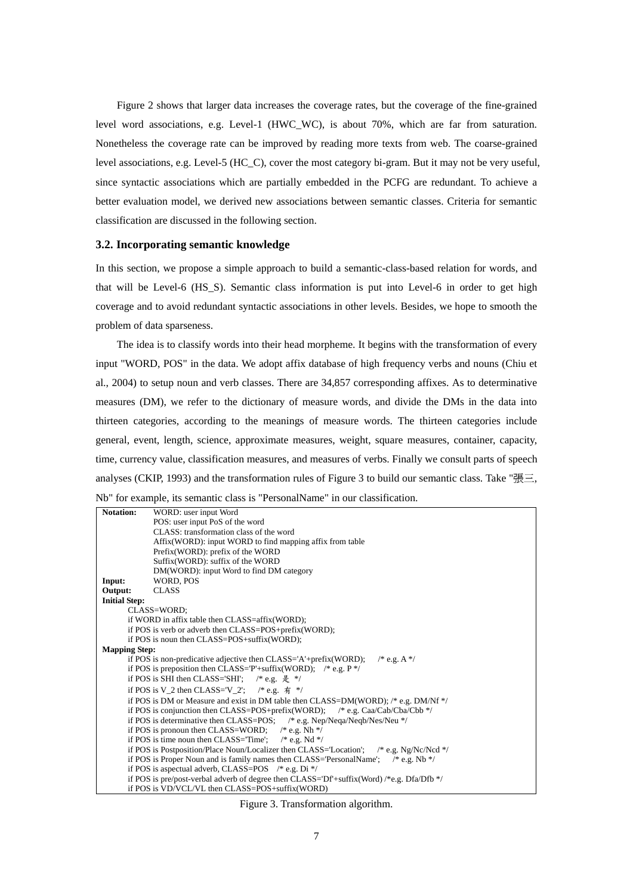Figure 2 shows that larger data increases the coverage rates, but the coverage of the fine-grained level word associations, e.g. Level-1 (HWC\_WC), is about 70%, which are far from saturation. Nonetheless the coverage rate can be improved by reading more texts from web. The coarse-grained level associations, e.g. Level-5 (HC\_C), cover the most category bi-gram. But it may not be very useful, since syntactic associations which are partially embedded in the PCFG are redundant. To achieve a better evaluation model, we derived new associations between semantic classes. Criteria for semantic classification are discussed in the following section.

#### **3.2. Incorporating semantic knowledge**

In this section, we propose a simple approach to build a semantic-class-based relation for words, and that will be Level-6 (HS\_S). Semantic class information is put into Level-6 in order to get high coverage and to avoid redundant syntactic associations in other levels. Besides, we hope to smooth the problem of data sparseness.

The idea is to classify words into their head morpheme. It begins with the transformation of every input "WORD, POS" in the data. We adopt affix database of high frequency verbs and nouns (Chiu et al., 2004) to setup noun and verb classes. There are 34,857 corresponding affixes. As to determinative measures (DM), we refer to the dictionary of measure words, and divide the DMs in the data into thirteen categories, according to the meanings of measure words. The thirteen categories include general, event, length, science, approximate measures, weight, square measures, container, capacity, time, currency value, classification measures, and measures of verbs. Finally we consult parts of speech analyses (CKIP, 1993) and the transformation rules of Figure 3 to build our semantic class. Take "張三, Nb" for example, its semantic class is "PersonalName" in our classification.

| <b>Notation:</b>                                                                      | WORD: user input Word                                                                           |  |  |  |  |  |  |
|---------------------------------------------------------------------------------------|-------------------------------------------------------------------------------------------------|--|--|--|--|--|--|
|                                                                                       | POS: user input PoS of the word                                                                 |  |  |  |  |  |  |
|                                                                                       | CLASS: transformation class of the word                                                         |  |  |  |  |  |  |
|                                                                                       | Affix (WORD): input WORD to find mapping affix from table                                       |  |  |  |  |  |  |
|                                                                                       | Prefix(WORD): prefix of the WORD                                                                |  |  |  |  |  |  |
|                                                                                       | Suffix(WORD): suffix of the WORD                                                                |  |  |  |  |  |  |
|                                                                                       | DM(WORD): input Word to find DM category                                                        |  |  |  |  |  |  |
| Input:                                                                                | WORD, POS                                                                                       |  |  |  |  |  |  |
| Output:                                                                               | <b>CLASS</b>                                                                                    |  |  |  |  |  |  |
| <b>Initial Step:</b>                                                                  |                                                                                                 |  |  |  |  |  |  |
|                                                                                       | CLASS=WORD;                                                                                     |  |  |  |  |  |  |
|                                                                                       | if WORD in affix table then CLASS=affix(WORD);                                                  |  |  |  |  |  |  |
|                                                                                       | if POS is verb or adverb then CLASS=POS+prefix(WORD);                                           |  |  |  |  |  |  |
|                                                                                       | if POS is noun then CLASS=POS+suffix(WORD);                                                     |  |  |  |  |  |  |
| <b>Mapping Step:</b>                                                                  |                                                                                                 |  |  |  |  |  |  |
| if POS is non-predicative adjective then CLASS='A'+prefix(WORD);<br>$/* e.g. A */$    |                                                                                                 |  |  |  |  |  |  |
|                                                                                       | if POS is preposition then CLASS='P'+suffix(WORD); /* e.g. $P^*$ /                              |  |  |  |  |  |  |
|                                                                                       | if POS is SHI then CLASS='SHI'; /* e.g. $\frac{1}{\mathcal{K}}$ */                              |  |  |  |  |  |  |
|                                                                                       | if POS is V_2 then CLASS='V_2'; /* e.g. $\overline{A}$ */                                       |  |  |  |  |  |  |
| if POS is DM or Measure and exist in DM table then CLASS=DM(WORD); /* e.g. DM/Nf $*/$ |                                                                                                 |  |  |  |  |  |  |
|                                                                                       | if POS is conjunction then CLASS=POS+prefix(WORD); $\frac{\pi}{6}$ e.g. Caa/Cab/Cba/Cbb */      |  |  |  |  |  |  |
|                                                                                       | if POS is determinative then CLASS=POS; /* e.g. Nep/Neqa/Neqb/Nes/Neu */                        |  |  |  |  |  |  |
|                                                                                       | if POS is pronoun then CLASS=WORD; $\frac{\pi}{8}$ e.g. Nh $\frac{\pi}{4}$                      |  |  |  |  |  |  |
|                                                                                       | if POS is time noun then CLASS= $Time$ ; /* e.g. Nd */                                          |  |  |  |  |  |  |
|                                                                                       | if POS is Postposition/Place Noun/Localizer then CLASS='Location'; /* e.g. Ng/Nc/Ncd */         |  |  |  |  |  |  |
|                                                                                       | if POS is Proper Noun and is family names then CLASS='PersonalName'; $\frac{\pi}{8}$ e.g. Nb */ |  |  |  |  |  |  |
|                                                                                       | if POS is aspectual adverb, CLASS=POS /* e.g. Di */                                             |  |  |  |  |  |  |
|                                                                                       | if POS is pre/post-verbal adverb of degree then CLASS= $Df'$ +suffix(Word) /*e.g. Dfa/Dfb */    |  |  |  |  |  |  |
|                                                                                       | if POS is VD/VCL/VL then CLASS=POS+suffix(WORD)                                                 |  |  |  |  |  |  |

Figure 3. Transformation algorithm.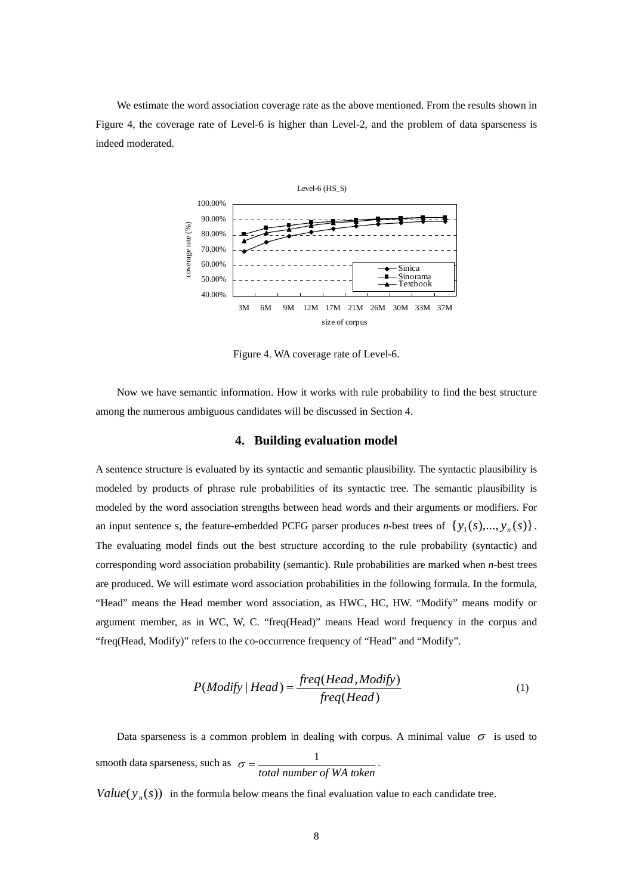We estimate the word association coverage rate as the above mentioned. From the results shown in Figure 4, the coverage rate of Level-6 is higher than Level-2, and the problem of data sparseness is indeed moderated.



Figure 4. WA coverage rate of Level-6.

Now we have semantic information. How it works with rule probability to find the best structure among the numerous ambiguous candidates will be discussed in Section 4.

## **4. Building evaluation model**

A sentence structure is evaluated by its syntactic and semantic plausibility. The syntactic plausibility is modeled by products of phrase rule probabilities of its syntactic tree. The semantic plausibility is modeled by the word association strengths between head words and their arguments or modifiers. For an input sentence s, the feature-embedded PCFG parser produces *n*-best trees of  $\{y_1(s),..., y_n(s)\}\$ . The evaluating model finds out the best structure according to the rule probability (syntactic) and corresponding word association probability (semantic). Rule probabilities are marked when *n*-best trees are produced. We will estimate word association probabilities in the following formula. In the formula, "Head" means the Head member word association, as HWC, HC, HW. "Modify" means modify or argument member, as in WC, W, C. "freq(Head)" means Head word frequency in the corpus and "freq(Head, Modify)" refers to the co-occurrence frequency of "Head" and "Modify".

$$
P(Modify | Head) = \frac{freq(Head, Modify)}{freq(Head)}
$$
 (1)

Data sparseness is a common problem in dealing with corpus. A minimal value  $\sigma$  is used to smooth data sparseness, such as *total number of WA token*  $\sigma = \frac{1}{\sigma}$ .

*Value*  $(y_n(s))$  in the formula below means the final evaluation value to each candidate tree.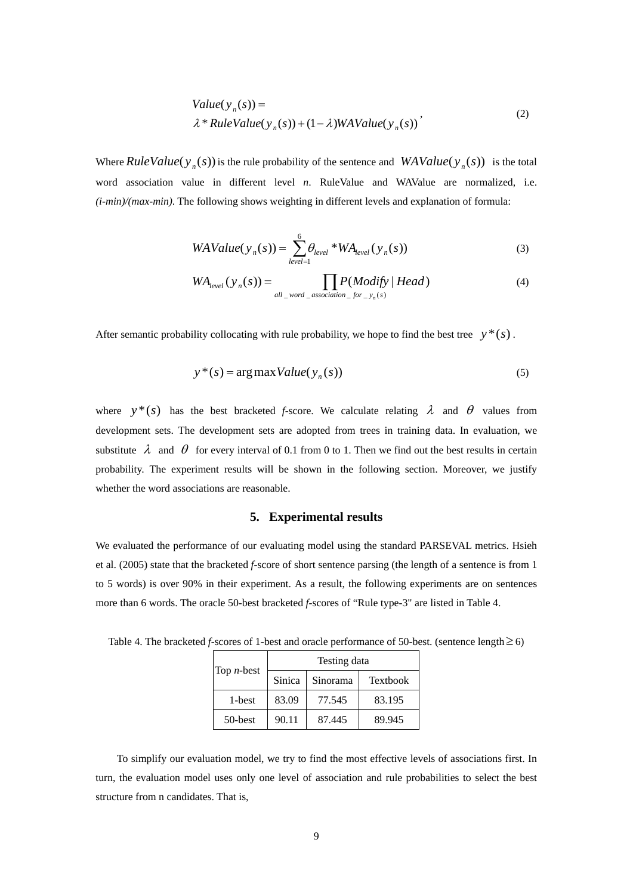Value
$$
(y_n(s))
$$
 =  
\n $\lambda * RuleValue(y_n(s)) + (1 - \lambda)WAValue(y_n(s))'$  (2)

Where  $RuleValue(y_n(s))$  is the rule probability of the sentence and  $WAValue(y_n(s))$  is the total word association value in different level *n*. RuleValue and WAValue are normalized, i.e. *(i-min)/(max-min)*. The following shows weighting in different levels and explanation of formula:

$$
WAValue(y_n(s)) = \sum_{level=1}^{6} \theta_{level} * WA_{level}(y_n(s))
$$
\n(3)

$$
WA_{level}(y_n(s)) = \prod_{all\_word\_association\_for\_y_n(s)} Head)
$$
 (4)

After semantic probability collocating with rule probability, we hope to find the best tree  $y^*(s)$ .

$$
y^*(s) = \arg \max Value(y_n(s))
$$
\n(5)

where  $y^*(s)$  has the best bracketed *f*-score. We calculate relating  $\lambda$  and  $\theta$  values from development sets. The development sets are adopted from trees in training data. In evaluation, we substitute  $\lambda$  and  $\theta$  for every interval of 0.1 from 0 to 1. Then we find out the best results in certain probability. The experiment results will be shown in the following section. Moreover, we justify whether the word associations are reasonable.

## **5. Experimental results**

We evaluated the performance of our evaluating model using the standard PARSEVAL metrics. Hsieh et al. (2005) state that the bracketed *f*-score of short sentence parsing (the length of a sentence is from 1 to 5 words) is over 90% in their experiment. As a result, the following experiments are on sentences more than 6 words. The oracle 50-best bracketed *f*-scores of "Rule type-3" are listed in Table 4.

Testing data Top *n*-best Sinica Sinorama Textbook 1-best | 83.09 | 77.545 | 83.195 50-best | 90.11 | 87.445 | 89.945

Table 4. The bracketed *f*-scores of 1-best and oracle performance of 50-best. (sentence length≥ 6)

To simplify our evaluation model, we try to find the most effective levels of associations first. In turn, the evaluation model uses only one level of association and rule probabilities to select the best structure from n candidates. That is,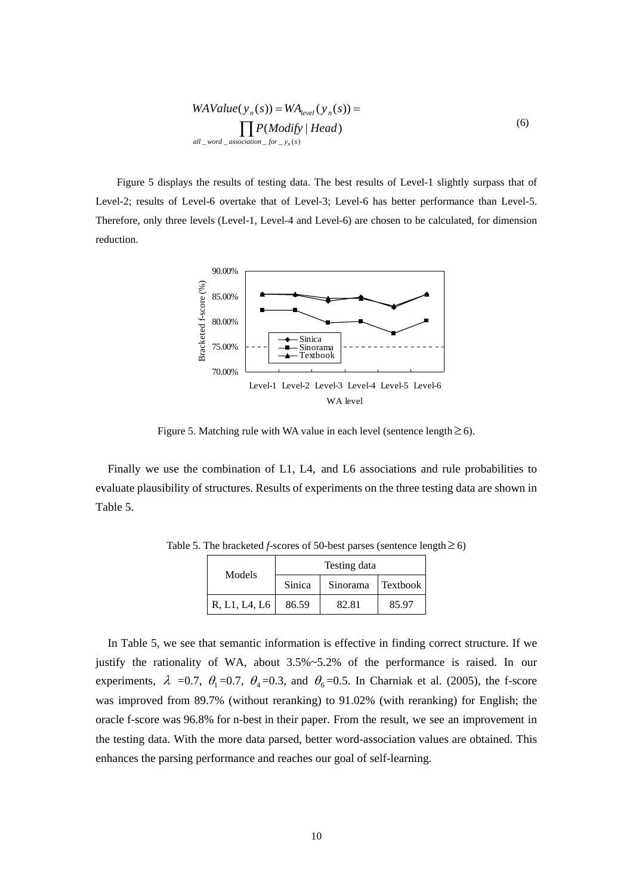$$
WAValue(y_n(s)) = WA_{level}(y_n(s)) = \prod_{all\_word\_association\_for\_y_n(s)} P(Modify | Head)
$$
\n(6)

Figure 5 displays the results of testing data. The best results of Level-1 slightly surpass that of Level-2; results of Level-6 overtake that of Level-3; Level-6 has better performance than Level-5. Therefore, only three levels (Level-1, Level-4 and Level-6) are chosen to be calculated, for dimension reduction.



Figure 5. Matching rule with WA value in each level (sentence length  $\geq$  6).

Finally we use the combination of L1, L4, and L6 associations and rule probabilities to evaluate plausibility of structures. Results of experiments on the three testing data are shown in Table 5.

| Models        | Testing data |          |          |  |
|---------------|--------------|----------|----------|--|
|               | Sinica       | Sinorama | Textbook |  |
| R, L1, L4, L6 | 86.59        | 82.81    | 85.97    |  |

Table 5. The bracketed *f*-scores of 50-best parses (sentence length  $\geq$  6)

In Table 5, we see that semantic information is effective in finding correct structure. If we justify the rationality of WA, about 3.5%~5.2% of the performance is raised. In our experiments,  $\lambda = 0.7$ ,  $\theta_1 = 0.7$ ,  $\theta_4 = 0.3$ , and  $\theta_6 = 0.5$ . In Charniak et al. (2005), the f-score was improved from 89.7% (without reranking) to 91.02% (with reranking) for English; the oracle f-score was 96.8% for n-best in their paper. From the result, we see an improvement in the testing data. With the more data parsed, better word-association values are obtained. This enhances the parsing performance and reaches our goal of self-learning.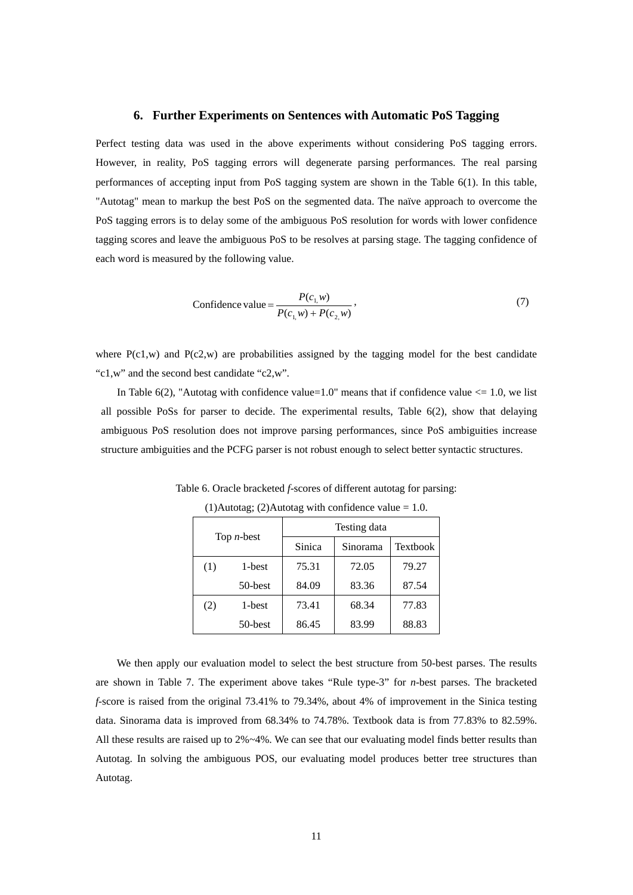# **6. Further Experiments on Sentences with Automatic PoS Tagging**

Perfect testing data was used in the above experiments without considering PoS tagging errors. However, in reality, PoS tagging errors will degenerate parsing performances. The real parsing performances of accepting input from PoS tagging system are shown in the Table 6(1). In this table, "Autotag" mean to markup the best PoS on the segmented data. The naïve approach to overcome the PoS tagging errors is to delay some of the ambiguous PoS resolution for words with lower confidence tagging scores and leave the ambiguous PoS to be resolves at parsing stage. The tagging confidence of each word is measured by the following value.

Confidence value = 
$$
\frac{P(c_{1,}w)}{P(c_{1,}w) + P(c_{2,}w)},
$$
\n(7)

where  $P(c1,w)$  and  $P(c2,w)$  are probabilities assigned by the tagging model for the best candidate "c1,w" and the second best candidate "c2,w".

In Table 6(2), "Autotag with confidence value=1.0" means that if confidence value  $\leq$  1.0, we list all possible PoSs for parser to decide. The experimental results, Table 6(2), show that delaying ambiguous PoS resolution does not improve parsing performances, since PoS ambiguities increase structure ambiguities and the PCFG parser is not robust enough to select better syntactic structures.

Table 6. Oracle bracketed *f*-scores of different autotag for parsing:

| Top $n$ -best |         | Testing data |          |                 |  |
|---------------|---------|--------------|----------|-----------------|--|
|               |         | Sinica       | Sinorama | <b>Textbook</b> |  |
| (1)           | 1-best  | 75.31        | 72.05    | 79.27           |  |
|               | 50-best | 84.09        | 83.36    | 87.54           |  |
| (2)           | 1-best  | 73.41        | 68.34    | 77.83           |  |
|               | 50-best | 86.45        | 83.99    | 88.83           |  |

(1)Autotag; (2)Autotag with confidence value  $= 1.0$ .

We then apply our evaluation model to select the best structure from 50-best parses. The results are shown in Table 7. The experiment above takes "Rule type-3" for *n*-best parses. The bracketed *f*-score is raised from the original 73.41% to 79.34%, about 4% of improvement in the Sinica testing data. Sinorama data is improved from 68.34% to 74.78%. Textbook data is from 77.83% to 82.59%. All these results are raised up to 2%~4%. We can see that our evaluating model finds better results than Autotag. In solving the ambiguous POS, our evaluating model produces better tree structures than Autotag.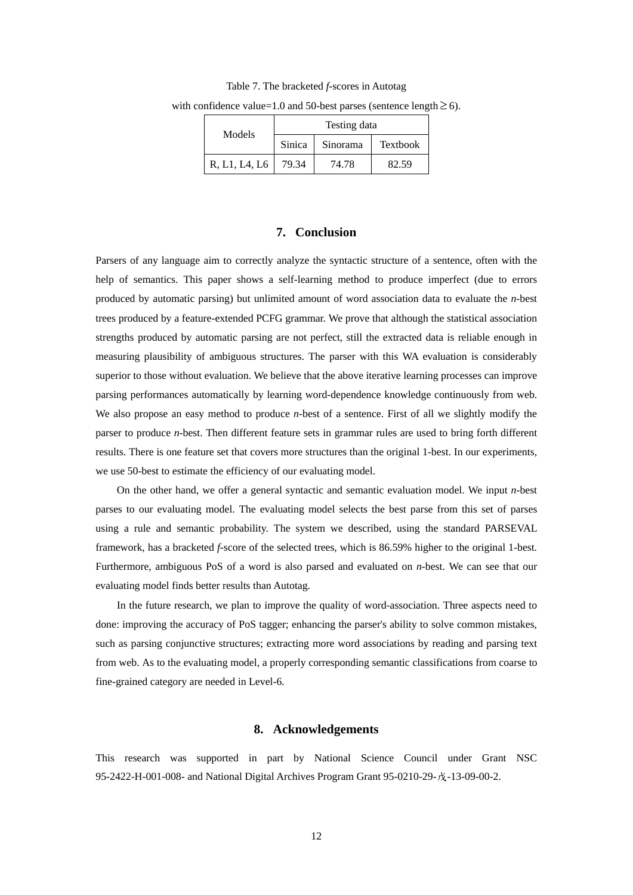| Models        | Testing data |          |          |  |
|---------------|--------------|----------|----------|--|
|               | Sinica       | Sinorama | Textbook |  |
| R, L1, L4, L6 | 79.34        | 74.78    | 82.59    |  |

Table 7. The bracketed *f*-scores in Autotag with confidence value=1.0 and 50-best parses (sentence length  $\geq$  6).

#### **7. Conclusion**

Parsers of any language aim to correctly analyze the syntactic structure of a sentence, often with the help of semantics. This paper shows a self-learning method to produce imperfect (due to errors produced by automatic parsing) but unlimited amount of word association data to evaluate the *n*-best trees produced by a feature-extended PCFG grammar. We prove that although the statistical association strengths produced by automatic parsing are not perfect, still the extracted data is reliable enough in measuring plausibility of ambiguous structures. The parser with this WA evaluation is considerably superior to those without evaluation. We believe that the above iterative learning processes can improve parsing performances automatically by learning word-dependence knowledge continuously from web. We also propose an easy method to produce *n*-best of a sentence. First of all we slightly modify the parser to produce *n*-best. Then different feature sets in grammar rules are used to bring forth different results. There is one feature set that covers more structures than the original 1-best. In our experiments, we use 50-best to estimate the efficiency of our evaluating model.

On the other hand, we offer a general syntactic and semantic evaluation model. We input *n*-best parses to our evaluating model. The evaluating model selects the best parse from this set of parses using a rule and semantic probability. The system we described, using the standard PARSEVAL framework, has a bracketed *f*-score of the selected trees, which is 86.59% higher to the original 1-best. Furthermore, ambiguous PoS of a word is also parsed and evaluated on *n*-best. We can see that our evaluating model finds better results than Autotag.

In the future research, we plan to improve the quality of word-association. Three aspects need to done: improving the accuracy of PoS tagger; enhancing the parser's ability to solve common mistakes, such as parsing conjunctive structures; extracting more word associations by reading and parsing text from web. As to the evaluating model, a properly corresponding semantic classifications from coarse to fine-grained category are needed in Level-6.

# **8. Acknowledgements**

This research was supported in part by National Science Council under Grant NSC 95-2422-H-001-008- and National Digital Archives Program Grant 95-0210-29-戊-13-09-00-2.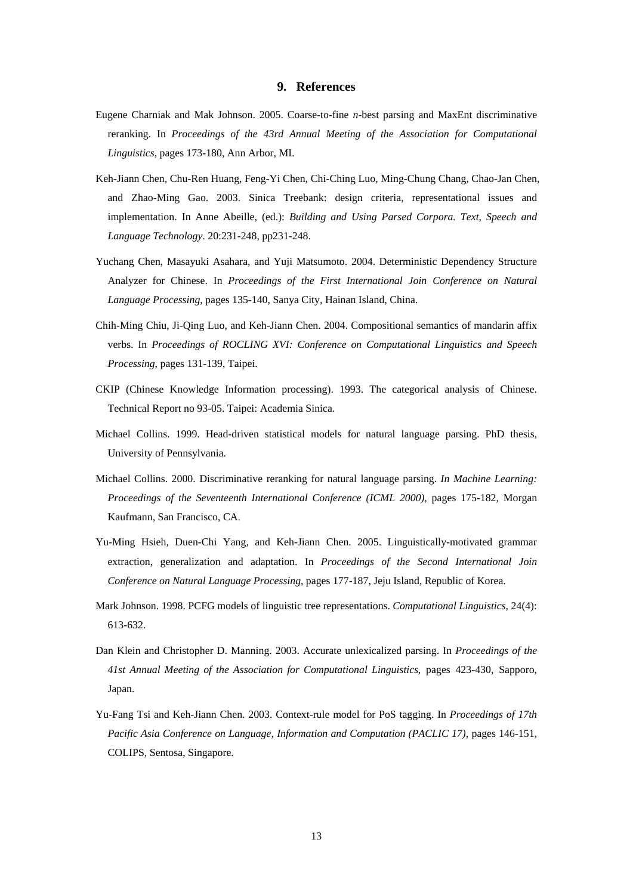## **9. References**

- Eugene Charniak and Mak Johnson. 2005. Coarse-to-fine *n*-best parsing and MaxEnt discriminative reranking. In *Proceedings of the 43rd Annual Meeting of the Association for Computational Linguistics*, pages 173-180, Ann Arbor, MI.
- Keh-Jiann Chen, Chu-Ren Huang, Feng-Yi Chen, Chi-Ching Luo, Ming-Chung Chang, Chao-Jan Chen, and Zhao-Ming Gao. 2003. Sinica Treebank: design criteria, representational issues and implementation. In Anne Abeille, (ed.): *Building and Using Parsed Corpora. Text, Speech and Language Technology*. 20:231-248, pp231-248.
- Yuchang Chen, Masayuki Asahara, and Yuji Matsumoto. 2004. Deterministic Dependency Structure Analyzer for Chinese. In *Proceedings of the First International Join Conference on Natural Language Processing*, pages 135-140, Sanya City, Hainan Island, China.
- Chih-Ming Chiu, Ji-Qing Luo, and Keh-Jiann Chen. 2004. Compositional semantics of mandarin affix verbs. In *Proceedings of ROCLING XVI: Conference on Computational Linguistics and Speech Processing*, pages 131-139, Taipei.
- CKIP (Chinese Knowledge Information processing). 1993. The categorical analysis of Chinese. Technical Report no 93-05. Taipei: Academia Sinica.
- Michael Collins. 1999. Head-driven statistical models for natural language parsing. PhD thesis, University of Pennsylvania.
- Michael Collins. 2000. Discriminative reranking for natural language parsing. *In Machine Learning: Proceedings of the Seventeenth International Conference (ICML 2000)*, pages 175-182, Morgan Kaufmann, San Francisco, CA.
- Yu-Ming Hsieh, Duen-Chi Yang, and Keh-Jiann Chen. 2005. Linguistically-motivated grammar extraction, generalization and adaptation. In *Proceedings of the Second International Join Conference on Natural Language Processing*, pages 177-187, Jeju Island, Republic of Korea.
- Mark Johnson. 1998. PCFG models of linguistic tree representations. *Computational Linguistics*, 24(4): 613-632.
- Dan Klein and Christopher D. Manning. 2003. Accurate unlexicalized parsing. In *Proceedings of the 41st Annual Meeting of the Association for Computational Linguistics*, pages 423-430, Sapporo, Japan.
- Yu-Fang Tsi and Keh-Jiann Chen. 2003. Context-rule model for PoS tagging. In *Proceedings of 17th Pacific Asia Conference on Language, Information and Computation (PACLIC 17)*, pages 146-151, COLIPS, Sentosa, Singapore.